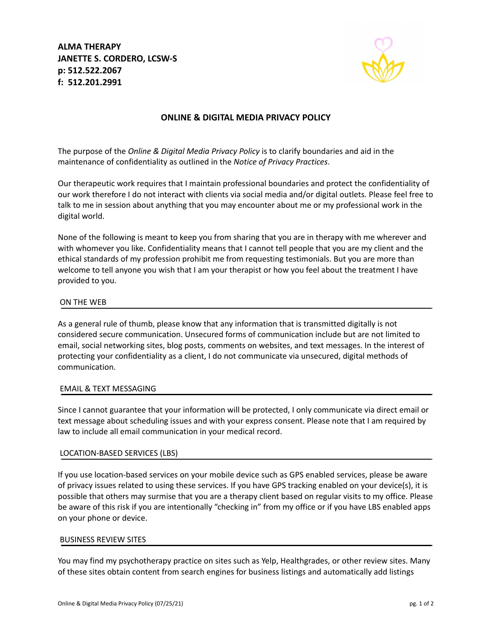**ALMA THERAPY JANETTE S. CORDERO, LCSW-S p: 512.522.2067 f: 512.201.2991**



## **ONLINE & DIGITAL MEDIA PRIVACY POLICY**

The purpose of the *Online & Digital Media Privacy Policy* is to clarify boundaries and aid in the maintenance of confidentiality as outlined in the *Notice of Privacy Practices*.

Our therapeutic work requires that I maintain professional boundaries and protect the confidentiality of our work therefore I do not interact with clients via social media and/or digital outlets. Please feel free to talk to me in session about anything that you may encounter about me or my professional work in the digital world.

None of the following is meant to keep you from sharing that you are in therapy with me wherever and with whomever you like. Confidentiality means that I cannot tell people that you are my client and the ethical standards of my profession prohibit me from requesting testimonials. But you are more than welcome to tell anyone you wish that I am your therapist or how you feel about the treatment I have provided to you.

### ON THE WEB

As a general rule of thumb, please know that any information that is transmitted digitally is not considered secure communication. Unsecured forms of communication include but are not limited to email, social networking sites, blog posts, comments on websites, and text messages. In the interest of protecting your confidentiality as a client, I do not communicate via unsecured, digital methods of communication.

#### EMAIL & TEXT MESSAGING

Since I cannot guarantee that your information will be protected, I only communicate via direct email or text message about scheduling issues and with your express consent. Please note that I am required by law to include all email communication in your medical record.

#### LOCATION-BASED SERVICES (LBS)

If you use location-based services on your mobile device such as GPS enabled services, please be aware of privacy issues related to using these services. If you have GPS tracking enabled on your device(s), it is possible that others may surmise that you are a therapy client based on regular visits to my office. Please be aware of this risk if you are intentionally "checking in" from my office or if you have LBS enabled apps on your phone or device.

#### BUSINESS REVIEW SITES

You may find my psychotherapy practice on sites such as Yelp, Healthgrades, or other review sites. Many of these sites obtain content from search engines for business listings and automatically add listings